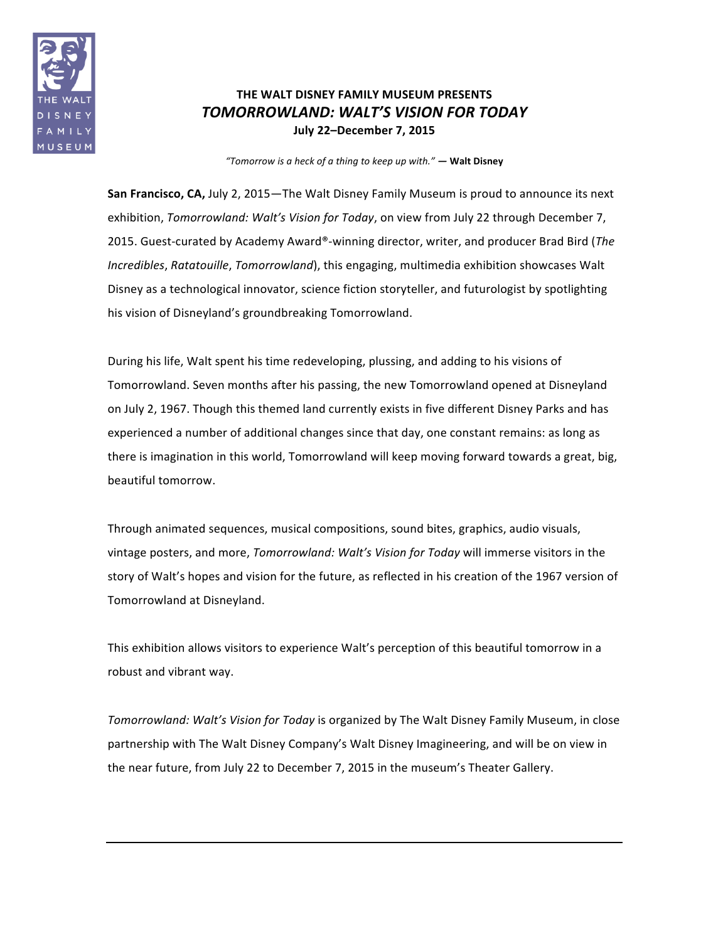

## **THE WALT DISNEY FAMILY MUSEUM PRESENTS** *TOMORROWLAND: WALT'S VISION FOR TODAY* **July 22–December 7, 2015**

*"Tomorrow is a heck of a thing to keep up with." —* **Walt Disney**

**San Francisco, CA,** July 2, 2015—The Walt Disney Family Museum is proud to announce its next exhibition, *Tomorrowland: Walt's Vision for Today*, on view from July 22 through December 7, 2015. Guest-curated by Academy Award®-winning director, writer, and producer Brad Bird (The *Incredibles, Ratatouille, Tomorrowland*), this engaging, multimedia exhibition showcases Walt Disney as a technological innovator, science fiction storyteller, and futurologist by spotlighting his vision of Disneyland's groundbreaking Tomorrowland.

During his life, Walt spent his time redeveloping, plussing, and adding to his visions of Tomorrowland. Seven months after his passing, the new Tomorrowland opened at Disneyland on July 2, 1967. Though this themed land currently exists in five different Disney Parks and has experienced a number of additional changes since that day, one constant remains: as long as there is imagination in this world, Tomorrowland will keep moving forward towards a great, big, beautiful tomorrow.

Through animated sequences, musical compositions, sound bites, graphics, audio visuals, vintage posters, and more, *Tomorrowland: Walt's Vision for Today* will immerse visitors in the story of Walt's hopes and vision for the future, as reflected in his creation of the 1967 version of Tomorrowland at Disneyland.

This exhibition allows visitors to experience Walt's perception of this beautiful tomorrow in a robust and vibrant way.

*Tomorrowland: Walt's Vision for Today* is organized by The Walt Disney Family Museum, in close partnership with The Walt Disney Company's Walt Disney Imagineering, and will be on view in the near future, from July 22 to December 7, 2015 in the museum's Theater Gallery.